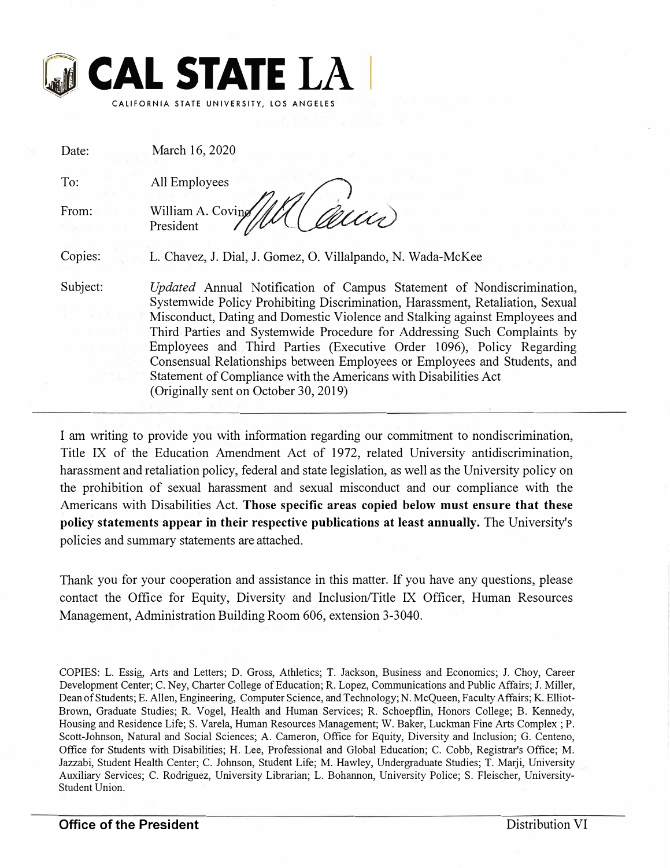

| Date:    | March 16, 2020                                                                                                                                                                                                                                                                                                                                                                                                                                                                                                                                                                      |
|----------|-------------------------------------------------------------------------------------------------------------------------------------------------------------------------------------------------------------------------------------------------------------------------------------------------------------------------------------------------------------------------------------------------------------------------------------------------------------------------------------------------------------------------------------------------------------------------------------|
| To:      | All Employees                                                                                                                                                                                                                                                                                                                                                                                                                                                                                                                                                                       |
| From:    | William A. Coving<br>President                                                                                                                                                                                                                                                                                                                                                                                                                                                                                                                                                      |
| Copies:  | L. Chavez, J. Dial, J. Gomez, O. Villalpando, N. Wada-McKee                                                                                                                                                                                                                                                                                                                                                                                                                                                                                                                         |
| Subject: | Updated Annual Notification of Campus Statement of Nondiscrimination,<br>Systemwide Policy Prohibiting Discrimination, Harassment, Retaliation, Sexual<br>Misconduct, Dating and Domestic Violence and Stalking against Employees and<br>Third Parties and Systemwide Procedure for Addressing Such Complaints by<br>Employees and Third Parties (Executive Order 1096), Policy Regarding<br>Consensual Relationships between Employees or Employees and Students, and<br>Statement of Compliance with the Americans with Disabilities Act<br>(Originally sent on October 30, 2019) |

I am writing to provide you with information regarding our commitment to nondiscrimination, Title IX of the Education Amendment Act of 1972, related University antidiscrimination, harassment and retaliation policy, federal and state legislation, as well as the University policy on the prohibition of sexual harassment and sexual misconduct and our compliance with the Americans with Disabilities Act. **Those specific areas copied below must ensure that these policy statements appear in their respective publications at least annually.** The University's policies and summary statements are attached.

Thank you for your cooperation and assistance in this matter. If you have any questions, please contact the Office for Equity, Diversity and Inclusion/Title IX Officer, Human Resources Management, Administration Building Room 606, extension 3-3040.

COPIES: L. Essig, Arts and Letters; D. Gross, Athletics; T. Jackson, Business and Economics; J. Choy, Career Development Center; C. Ney, Charter College of Education; R. Lopez, Communications and Public Affairs; J. Miller, Dean of Students; E. Allen, Engineering, Computer Science, and Technology; N. McQueen, Faculty Affairs; K. Elliot-Brown, Graduate Studies; R. Vogel, Health and Human Services; R. Schoepflin, Honors College; B. Kennedy, Housing and Residence Life; S. Varela, Human Resources Management; W. Baker, Luckman Fine Arts Complex ; P. Scott-Johnson, Natural and Social Sciences; A. Cameron, Office for Equity, Diversity and Inclusion; G. Centeno, Office for Students with Disabilities; H. Lee, Professional and Global Education; C. Cobb, Registrar's Office; M. Jazzabi, Student Health Center; C. Johnson, Student Life; M. Hawley, Undergraduate Studies; T. Marji, University Auxiliary Services; C. Rodriguez, University Librarian; L. Bohannon, University Police; S. Fleischer, University-Student Union.

**Office of the President**  Distribution VI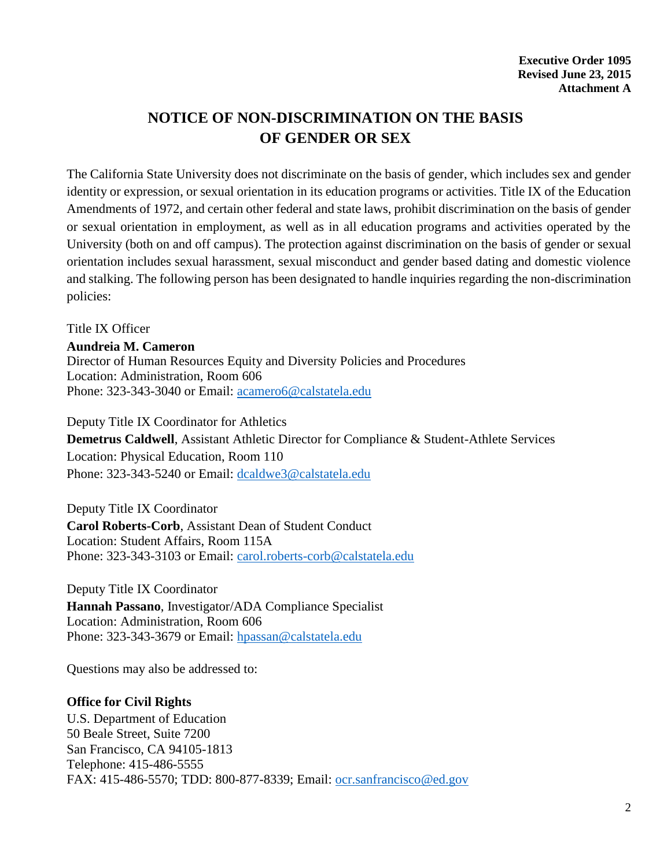# **NOTICE OF NON-DISCRIMINATION ON THE BASIS OF GENDER OR SEX**

The California State University does not discriminate on the basis of gender, which includes sex and gender identity or expression, or sexual orientation in its education programs or activities. Title IX of the Education Amendments of 1972, and certain other federal and state laws, prohibit discrimination on the basis of gender or sexual orientation in employment, as well as in all education programs and activities operated by the University (both on and off campus). The protection against discrimination on the basis of gender or sexual orientation includes sexual harassment, sexual misconduct and gender based dating and domestic violence and stalking. The following person has been designated to handle inquiries regarding the non-discrimination policies:

Title IX Officer

#### **Aundreia M. Cameron**

Director of Human Resources Equity and Diversity Policies and Procedures Location: Administration, Room 606 Phone: 323-343-3040 or Email: [acamero6@calstatela.edu](mailto:acamero6@calstatela.edu)

Deputy Title IX Coordinator for Athletics **Demetrus Caldwell**, Assistant Athletic Director for Compliance & Student-Athlete Services Location: Physical Education, Room 110 Phone: 323-343-5240 or Email: [dcaldwe3@calstatela.edu](mailto:dcaldwe3@calstatela.edu)

Deputy Title IX Coordinator **Carol Roberts-Corb**, Assistant Dean of Student Conduct Location: Student Affairs, Room 115A Phone: 323-343-3103 or Email: [carol.roberts-corb@calstatela.edu](mailto:carol.roberts-corb@calstatela.edu)

Deputy Title IX Coordinator **Hannah Passano**, Investigator/ADA Compliance Specialist Location: Administration, Room 606 Phone: 323-343-3679 or Email: [hpassan@calstatela.edu](mailto:hpassan@calstatela.edu)

Questions may also be addressed to:

### **Office for Civil Rights**

U.S. Department of Education 50 Beale Street, Suite 7200 San Francisco, CA 94105-1813 Telephone: 415-486-5555 FAX: 415-486-5570; TDD: 800-877-8339; Email: [ocr.sanfrancisco@ed.gov](mailto:ocr.sanfrancisco@ed.gov)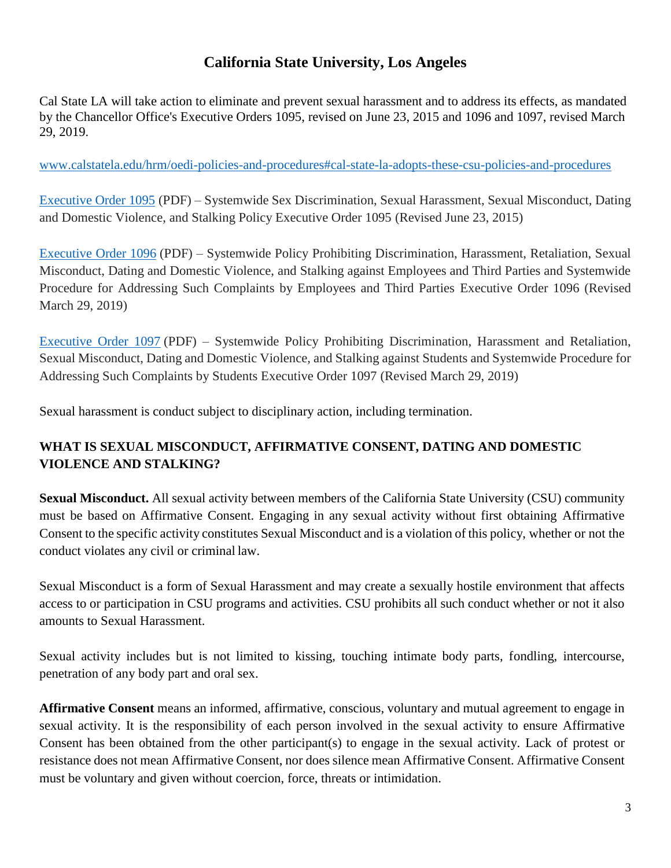## **California State University, Los Angeles**

Cal State LA will take action to eliminate and prevent sexual harassment and to address its effects, as mandated by the Chancellor Office's Executive Orders 1095, revised on June 23, 2015 and 1096 and 1097, revised March 29, 2019.

[www.calstatela.edu/hrm/oedi-policies-and-procedures#cal-state-la-adopts-these-csu-policies-and-procedures](http://www.calstatela.edu/hrm/oedi-policies-and-procedures#cal-state-la-adopts-these-csu-policies-and-procedures)

[Executive Order 1095](http://www.calstatela.edu/sites/default/files/groups/Human%20Resources%20Management/forms/oedi_cal_state_la_eo1095_2017_08_14.pdf) (PDF) – Systemwide Sex Discrimination, Sexual Harassment, Sexual Misconduct, Dating and Domestic Violence, and Stalking Policy Executive Order 1095 (Revised June 23, 2015)

[Executive Order 1096](http://www.calstatela.edu/sites/default/files/groups/Human%20Resources%20Management/oedi_2019_eo_1096.pdf) (PDF) – Systemwide Policy Prohibiting Discrimination, Harassment, Retaliation, Sexual Misconduct, Dating and Domestic Violence, and Stalking against Employees and Third Parties and Systemwide Procedure for Addressing Such Complaints by Employees and Third Parties Executive Order 1096 (Revised March 29, 2019)

[Executive Order 1097](http://www.calstatela.edu/sites/default/files/groups/Human%20Resources%20Management/oedi_2019_eo_1097.pdf) (PDF) – Systemwide Policy Prohibiting Discrimination, Harassment and Retaliation, Sexual Misconduct, Dating and Domestic Violence, and Stalking against Students and Systemwide Procedure for Addressing Such Complaints by Students Executive Order 1097 (Revised March 29, 2019)

Sexual harassment is conduct subject to disciplinary action, including termination.

## **WHAT IS SEXUAL MISCONDUCT, AFFIRMATIVE CONSENT, DATING AND DOMESTIC VIOLENCE AND STALKING?**

**Sexual Misconduct.** All sexual activity between members of the California State University (CSU) community must be based on Affirmative Consent. Engaging in any sexual activity without first obtaining Affirmative Consent to the specific activity constitutes Sexual Misconduct and is a violation of this policy, whether or not the conduct violates any civil or criminal law.

Sexual Misconduct is a form of Sexual Harassment and may create a sexually hostile environment that affects access to or participation in CSU programs and activities. CSU prohibits all such conduct whether or not it also amounts to Sexual Harassment.

Sexual activity includes but is not limited to kissing, touching intimate body parts, fondling, intercourse, penetration of any body part and oral sex.

**Affirmative Consent** means an informed, affirmative, conscious, voluntary and mutual agreement to engage in sexual activity. It is the responsibility of each person involved in the sexual activity to ensure Affirmative Consent has been obtained from the other participant(s) to engage in the sexual activity. Lack of protest or resistance does not mean Affirmative Consent, nor does silence mean Affirmative Consent. Affirmative Consent must be voluntary and given without coercion, force, threats or intimidation.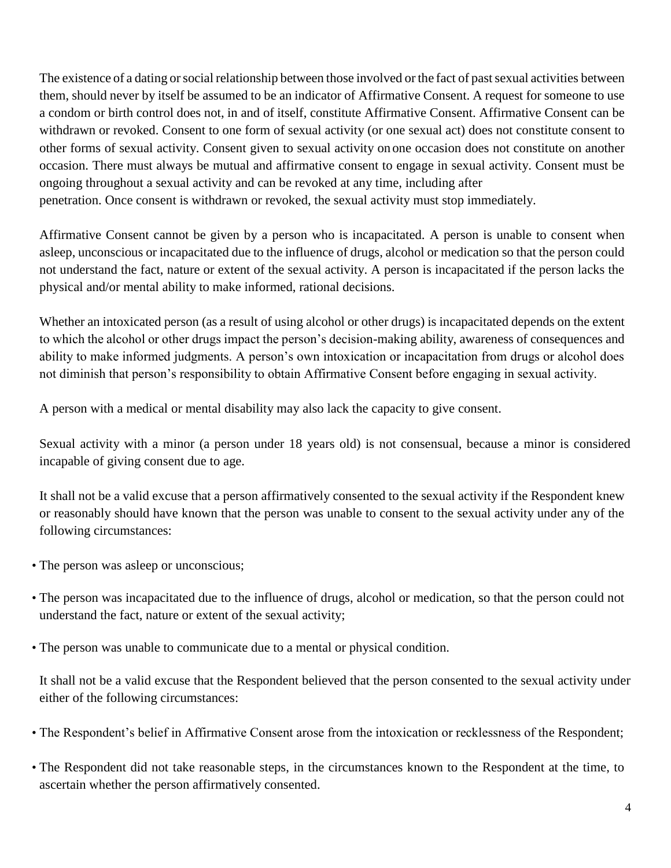The existence of a dating or social relationship between those involved or the fact of past sexual activities between them, should never by itself be assumed to be an indicator of Affirmative Consent. A request for someone to use a condom or birth control does not, in and of itself, constitute Affirmative Consent. Affirmative Consent can be withdrawn or revoked. Consent to one form of sexual activity (or one sexual act) does not constitute consent to other forms of sexual activity. Consent given to sexual activity on one occasion does not constitute on another occasion. There must always be mutual and affirmative consent to engage in sexual activity. Consent must be ongoing throughout a sexual activity and can be revoked at any time, including after penetration. Once consent is withdrawn or revoked, the sexual activity must stop immediately.

Affirmative Consent cannot be given by a person who is incapacitated. A person is unable to consent when asleep, unconscious or incapacitated due to the influence of drugs, alcohol or medication so that the person could not understand the fact, nature or extent of the sexual activity. A person is incapacitated if the person lacks the physical and/or mental ability to make informed, rational decisions.

Whether an intoxicated person (as a result of using alcohol or other drugs) is incapacitated depends on the extent to which the alcohol or other drugs impact the person's decision-making ability, awareness of consequences and ability to make informed judgments. A person's own intoxication or incapacitation from drugs or alcohol does not diminish that person's responsibility to obtain Affirmative Consent before engaging in sexual activity.

A person with a medical or mental disability may also lack the capacity to give consent.

Sexual activity with a minor (a person under 18 years old) is not consensual, because a minor is considered incapable of giving consent due to age.

It shall not be a valid excuse that a person affirmatively consented to the sexual activity if the Respondent knew or reasonably should have known that the person was unable to consent to the sexual activity under any of the following circumstances:

- The person was asleep or unconscious;
- The person was incapacitated due to the influence of drugs, alcohol or medication, so that the person could not understand the fact, nature or extent of the sexual activity;
- The person was unable to communicate due to a mental or physical condition.

It shall not be a valid excuse that the Respondent believed that the person consented to the sexual activity under either of the following circumstances:

- The Respondent's belief in Affirmative Consent arose from the intoxication or recklessness of the Respondent;
- The Respondent did not take reasonable steps, in the circumstances known to the Respondent at the time, to ascertain whether the person affirmatively consented.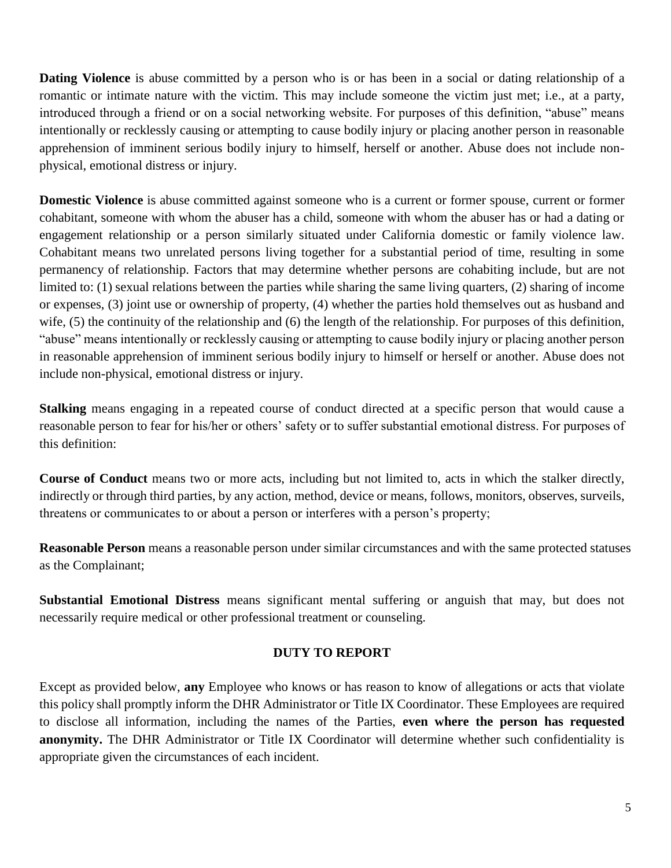**Dating Violence** is abuse committed by a person who is or has been in a social or dating relationship of a romantic or intimate nature with the victim. This may include someone the victim just met; i.e., at a party, introduced through a friend or on a social networking website. For purposes of this definition, "abuse" means intentionally or recklessly causing or attempting to cause bodily injury or placing another person in reasonable apprehension of imminent serious bodily injury to himself, herself or another. Abuse does not include nonphysical, emotional distress or injury.

**Domestic Violence** is abuse committed against someone who is a current or former spouse, current or former cohabitant, someone with whom the abuser has a child, someone with whom the abuser has or had a dating or engagement relationship or a person similarly situated under California domestic or family violence law. Cohabitant means two unrelated persons living together for a substantial period of time, resulting in some permanency of relationship. Factors that may determine whether persons are cohabiting include, but are not limited to: (1) sexual relations between the parties while sharing the same living quarters, (2) sharing of income or expenses, (3) joint use or ownership of property, (4) whether the parties hold themselves out as husband and wife, (5) the continuity of the relationship and (6) the length of the relationship. For purposes of this definition, "abuse" means intentionally or recklessly causing or attempting to cause bodily injury or placing another person in reasonable apprehension of imminent serious bodily injury to himself or herself or another. Abuse does not include non-physical, emotional distress or injury.

**Stalking** means engaging in a repeated course of conduct directed at a specific person that would cause a reasonable person to fear for his/her or others' safety or to suffer substantial emotional distress. For purposes of this definition:

**Course of Conduct** means two or more acts, including but not limited to, acts in which the stalker directly, indirectly or through third parties, by any action, method, device or means, follows, monitors, observes, surveils, threatens or communicates to or about a person or interferes with a person's property;

**Reasonable Person** means a reasonable person under similar circumstances and with the same protected statuses as the Complainant;

**Substantial Emotional Distress** means significant mental suffering or anguish that may, but does not necessarily require medical or other professional treatment or counseling.

### **DUTY TO REPORT**

Except as provided below, **any** Employee who knows or has reason to know of allegations or acts that violate this policy shall promptly inform the DHR Administrator or Title IX Coordinator. These Employees are required to disclose all information, including the names of the Parties, **even where the person has requested anonymity.** The DHR Administrator or Title IX Coordinator will determine whether such confidentiality is appropriate given the circumstances of each incident.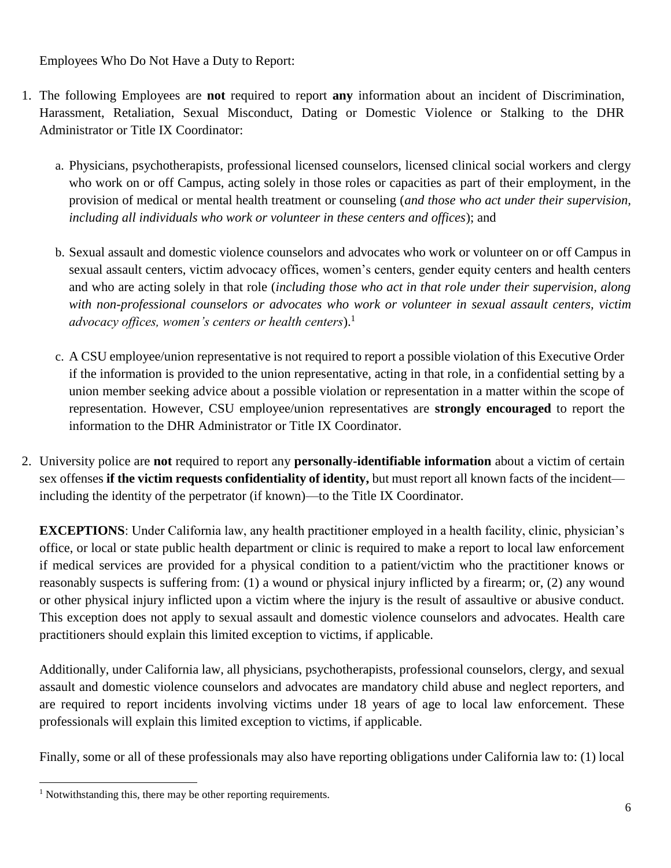Employees Who Do Not Have a Duty to Report:

- 1. The following Employees are **not** required to report **any** information about an incident of Discrimination, Harassment, Retaliation, Sexual Misconduct, Dating or Domestic Violence or Stalking to the DHR Administrator or Title IX Coordinator:
	- a. Physicians, psychotherapists, professional licensed counselors, licensed clinical social workers and clergy who work on or off Campus, acting solely in those roles or capacities as part of their employment, in the provision of medical or mental health treatment or counseling (*and those who act under their supervision, including all individuals who work or volunteer in these centers and offices*); and
	- b. Sexual assault and domestic violence counselors and advocates who work or volunteer on or off Campus in sexual assault centers, victim advocacy offices, women's centers, gender equity centers and health centers and who are acting solely in that role (*including those who act in that role under their supervision, along with non-professional counselors or advocates who work or volunteer in sexual assault centers, victim advocacy offices, women's centers or health centers*).<sup>1</sup>
	- c. A CSU employee/union representative is not required to report a possible violation of this Executive Order if the information is provided to the union representative, acting in that role, in a confidential setting by a union member seeking advice about a possible violation or representation in a matter within the scope of representation. However, CSU employee/union representatives are **strongly encouraged** to report the information to the DHR Administrator or Title IX Coordinator.
- 2. University police are **not** required to report any **personally-identifiable information** about a victim of certain sex offenses **if the victim requests confidentiality of identity,** but must report all known facts of the incident including the identity of the perpetrator (if known)—to the Title IX Coordinator.

**EXCEPTIONS**: Under California law, any health practitioner employed in a health facility, clinic, physician's office, or local or state public health department or clinic is required to make a report to local law enforcement if medical services are provided for a physical condition to a patient/victim who the practitioner knows or reasonably suspects is suffering from: (1) a wound or physical injury inflicted by a firearm; or, (2) any wound or other physical injury inflicted upon a victim where the injury is the result of assaultive or abusive conduct. This exception does not apply to sexual assault and domestic violence counselors and advocates. Health care practitioners should explain this limited exception to victims, if applicable.

Additionally, under California law, all physicians, psychotherapists, professional counselors, clergy, and sexual assault and domestic violence counselors and advocates are mandatory child abuse and neglect reporters, and are required to report incidents involving victims under 18 years of age to local law enforcement. These professionals will explain this limited exception to victims, if applicable.

Finally, some or all of these professionals may also have reporting obligations under California law to: (1) local

l <sup>1</sup> Notwithstanding this, there may be other reporting requirements.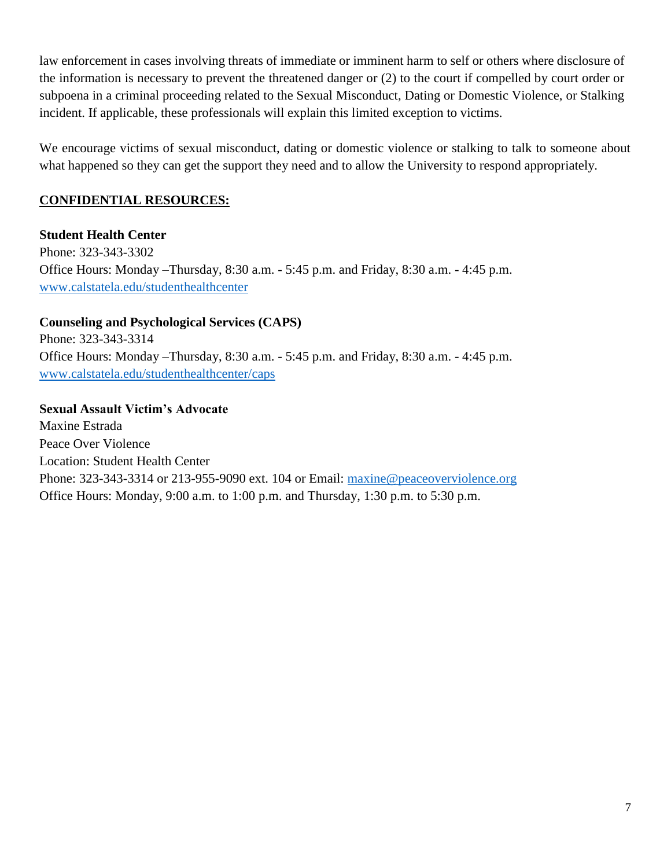law enforcement in cases involving threats of immediate or imminent harm to self or others where disclosure of the information is necessary to prevent the threatened danger or (2) to the court if compelled by court order or subpoena in a criminal proceeding related to the Sexual Misconduct, Dating or Domestic Violence, or Stalking incident. If applicable, these professionals will explain this limited exception to victims.

We encourage victims of sexual misconduct, dating or domestic violence or stalking to talk to someone about what happened so they can get the support they need and to allow the University to respond appropriately.

## **CONFIDENTIAL RESOURCES:**

**Student Health Center** Phone: 323-343-3302 Office Hours: Monday –Thursday, 8:30 a.m. - 5:45 p.m. and Friday, 8:30 a.m. - 4:45 p.m. [www.calstatela.edu/studenthealthcenter](http://www.calstatela.edu/studenthealthcenter)

## **Counseling and Psychological Services (CAPS)**

Phone: 323-343-3314 Office Hours: Monday –Thursday, 8:30 a.m. - 5:45 p.m. and Friday, 8:30 a.m. - 4:45 p.m. [www.calstatela.edu/studenthealthcenter/caps](http://www.calstatela.edu/studenthealthcenter/caps)

### **Sexual Assault Victim's Advocate**

Maxine Estrada Peace Over Violence Location: Student Health Center Phone: 323-343-3314 or 213-955-9090 ext. 104 or Email: [maxine@peaceoverviolence.org](mailto:maxine@peaceoverviolence.org) Office Hours: Monday, 9:00 a.m. to 1:00 p.m. and Thursday, 1:30 p.m. to 5:30 p.m.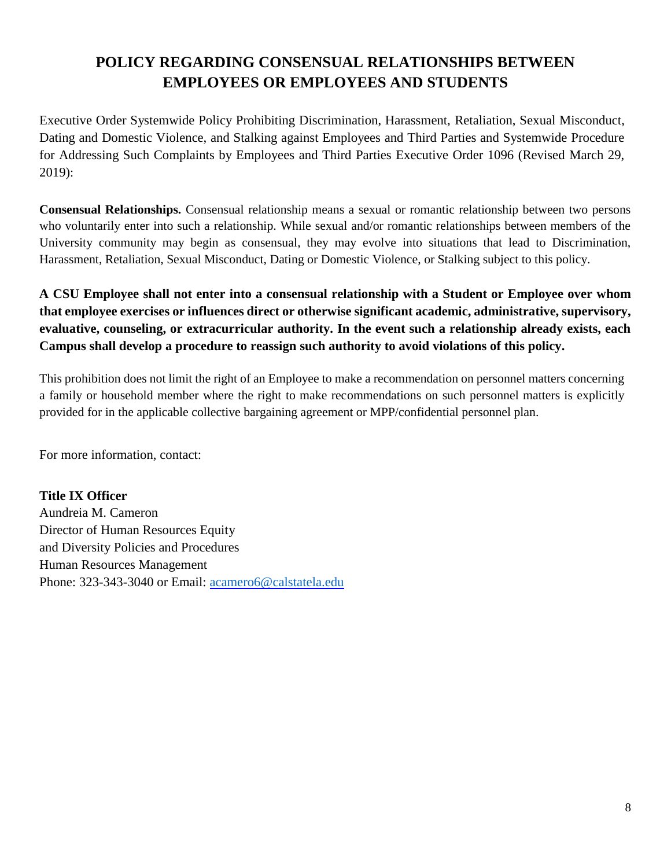# **POLICY REGARDING CONSENSUAL RELATIONSHIPS BETWEEN EMPLOYEES OR EMPLOYEES AND STUDENTS**

Executive Order Systemwide Policy Prohibiting Discrimination, Harassment, Retaliation, Sexual Misconduct, Dating and Domestic Violence, and Stalking against Employees and Third Parties and Systemwide Procedure for Addressing Such Complaints by Employees and Third Parties Executive Order 1096 (Revised March 29, 2019):

**Consensual Relationships.** Consensual relationship means a sexual or romantic relationship between two persons who voluntarily enter into such a relationship. While sexual and/or romantic relationships between members of the University community may begin as consensual, they may evolve into situations that lead to Discrimination, Harassment, Retaliation, Sexual Misconduct, Dating or Domestic Violence, or Stalking subject to this policy.

## **A CSU Employee shall not enter into a consensual relationship with a Student or Employee over whom that employee exercises or influences direct or otherwise significant academic, administrative, supervisory, evaluative, counseling, or extracurricular authority. In the event such a relationship already exists, each Campus shall develop a procedure to reassign such authority to avoid violations of this policy.**

This prohibition does not limit the right of an Employee to make a recommendation on personnel matters concerning a family or household member where the right to make recommendations on such personnel matters is explicitly provided for in the applicable collective bargaining agreement or MPP/confidential personnel plan.

For more information, contact:

### **Title IX Officer**

Aundreia M. Cameron Director of Human Resources Equity and Diversity Policies and Procedures Human Resources Management Phone: 323-343-3040 or Email: [acamero6@calstatela.edu](mailto:acamero6@calstatela.edu)